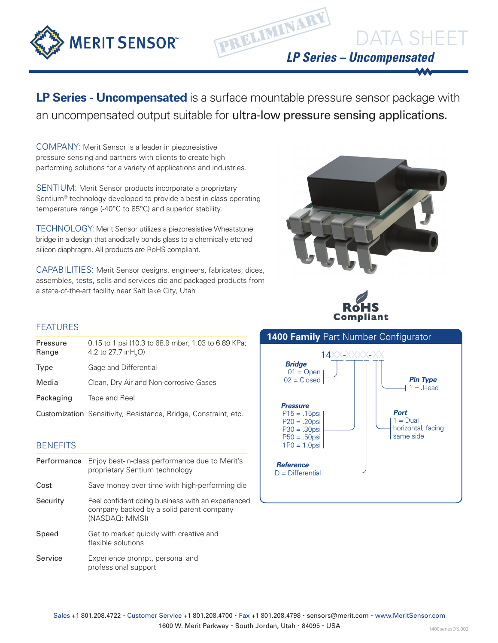

**LP Series - Uncompensated** is a surface mountable pressure sensor package with an uncompensated output suitable for ultra-low pressure sensing applications.

COMPANY: Merit Sensor is a leader in piezoresistive pressure sensing and partners with clients to create high performing solutions for a variety of applications and industries.

SENTIUM: Merit Sensor products incorporate a proprietary Sentium® technology developed to provide a best-in-class operating temperature range (-40°C to 85°C) and superior stability.

TECHNOLOGY: Merit Sensor utilizes a piezoresistive Wheatstone bridge in a design that anodically bonds glass to a chemically etched silicon diaphragm. All products are RoHS compliant.

CAPABILITIES: Merit Sensor designs, engineers, fabricates, dices, assembles, tests, sells and services die and packaged products from a state-of-the-art facility near Salt lake City, Utah





## FEATURES

| 0.15 to 1 psi (10.3 to 68.9 mbar; 1.03 to 6.89 KPa;<br>4.2 to 27.7 in H <sub>2</sub> O) |
|-----------------------------------------------------------------------------------------|
| Gage and Differential                                                                   |
| Clean, Dry Air and Non-corrosive Gases                                                  |
| Tape and Reel                                                                           |
| <b>Customization</b> Sensitivity, Resistance, Bridge, Constraint, etc.                  |
|                                                                                         |

### **BENEFITS**

| Performance | Enjoy best-in-class performance due to Merit's<br>proprietary Sentium technology                                |
|-------------|-----------------------------------------------------------------------------------------------------------------|
| Cost        | Save money over time with high-performing die                                                                   |
| Security    | Feel confident doing business with an experienced<br>company backed by a solid parent company<br>(NASDAQ: MMSI) |
| Speed       | Get to market quickly with creative and<br>flexible solutions                                                   |
| Service     | Experience prompt, personal and<br>professional support                                                         |